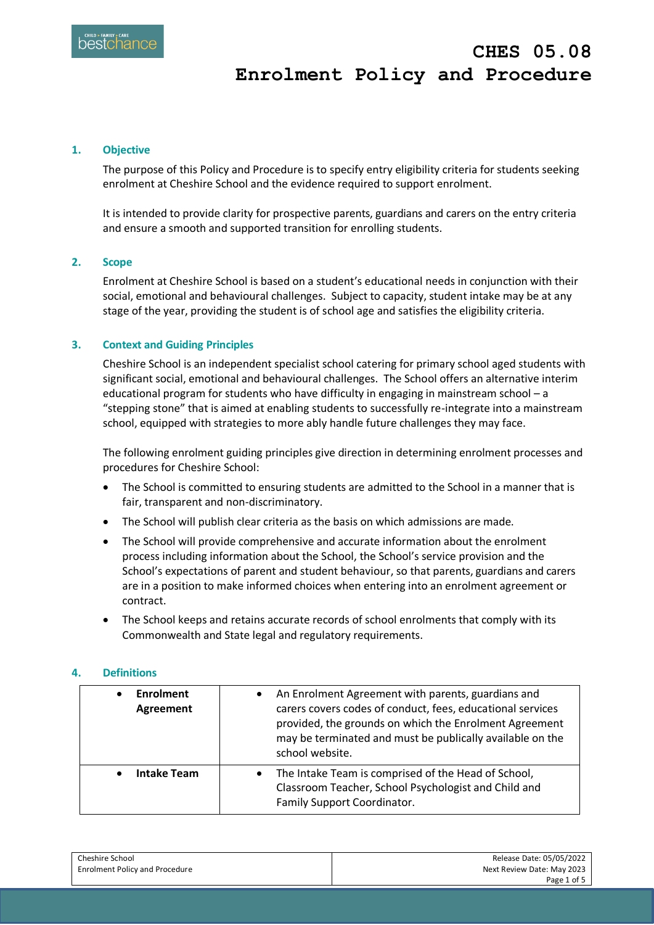## **1. Objective**

The purpose of this Policy and Procedure is to specify entry eligibility criteria for students seeking enrolment at Cheshire School and the evidence required to support enrolment.

It is intended to provide clarity for prospective parents, guardians and carers on the entry criteria and ensure a smooth and supported transition for enrolling students.

## **2. Scope**

Enrolment at Cheshire School is based on a student's educational needs in conjunction with their social, emotional and behavioural challenges. Subject to capacity, student intake may be at any stage of the year, providing the student is of school age and satisfies the eligibility criteria.

### **3. Context and Guiding Principles**

Cheshire School is an independent specialist school catering for primary school aged students with significant social, emotional and behavioural challenges. The School offers an alternative interim educational program for students who have difficulty in engaging in mainstream school – a "stepping stone" that is aimed at enabling students to successfully re-integrate into a mainstream school, equipped with strategies to more ably handle future challenges they may face.

The following enrolment guiding principles give direction in determining enrolment processes and procedures for Cheshire School:

- The School is committed to ensuring students are admitted to the School in a manner that is fair, transparent and non-discriminatory.
- The School will publish clear criteria as the basis on which admissions are made.
- The School will provide comprehensive and accurate information about the enrolment process including information about the School, the School's service provision and the School's expectations of parent and student behaviour, so that parents, guardians and carers are in a position to make informed choices when entering into an enrolment agreement or contract.
- The School keeps and retains accurate records of school enrolments that comply with its Commonwealth and State legal and regulatory requirements.

### **4. Definitions**

| <b>Enrolment</b><br><b>Agreement</b> | An Enrolment Agreement with parents, guardians and<br>carers covers codes of conduct, fees, educational services<br>provided, the grounds on which the Enrolment Agreement<br>may be terminated and must be publically available on the<br>school website. |
|--------------------------------------|------------------------------------------------------------------------------------------------------------------------------------------------------------------------------------------------------------------------------------------------------------|
| <b>Intake Team</b>                   | The Intake Team is comprised of the Head of School,<br>$\bullet$<br>Classroom Teacher, School Psychologist and Child and<br>Family Support Coordinator.                                                                                                    |

| Cheshire School                       | Release Date: 05/05/2022   |
|---------------------------------------|----------------------------|
| <b>Enrolment Policy and Procedure</b> | Next Review Date: May 2023 |
|                                       | Page 1 of 5                |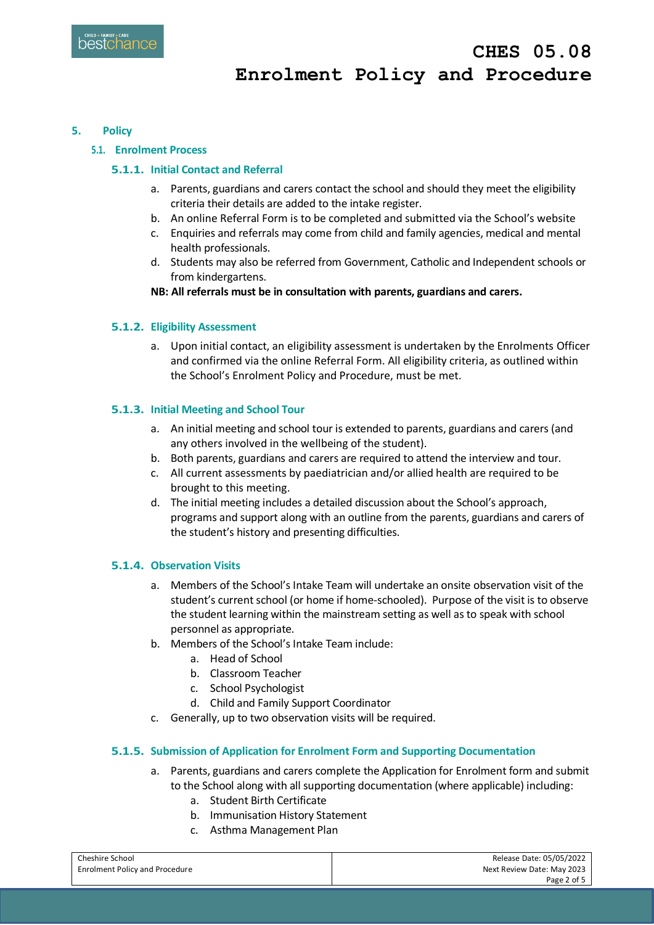## **5. Policy**

## **5.1. Enrolment Process**

# **5.1.1. Initial Contact and Referral**

- a. Parents, guardians and carers contact the school and should they meet the eligibility criteria their details are added to the intake register.
- b. An online Referral Form is to be completed and submitted via the School's website
- c. Enquiries and referrals may come from child and family agencies, medical and mental health professionals.
- d. Students may also be referred from Government, Catholic and Independent schools or from kindergartens.
- **NB: All referrals must be in consultation with parents, guardians and carers.**

## **5.1.2. Eligibility Assessment**

a. Upon initial contact, an eligibility assessment is undertaken by the Enrolments Officer and confirmed via the online Referral Form. All eligibility criteria, as outlined within the School's Enrolment Policy and Procedure, must be met.

## **5.1.3. Initial Meeting and School Tour**

- a. An initial meeting and school tour is extended to parents, guardians and carers (and any others involved in the wellbeing of the student).
- b. Both parents, guardians and carers are required to attend the interview and tour.
- c. All current assessments by paediatrician and/or allied health are required to be brought to this meeting.
- d. The initial meeting includes a detailed discussion about the School's approach, programs and support along with an outline from the parents, guardians and carers of the student's history and presenting difficulties.

## **5.1.4. Observation Visits**

- a. Members of the School's Intake Team will undertake an onsite observation visit of the student's current school (or home if home-schooled). Purpose of the visit is to observe the student learning within the mainstream setting as well as to speak with school personnel as appropriate.
- b. Members of the School's Intake Team include:
	- a. Head of School
	- b. Classroom Teacher
	- c. School Psychologist
	- d. Child and Family Support Coordinator
- c. Generally, up to two observation visits will be required.

## **5.1.5. Submission of Application for Enrolment Form and Supporting Documentation**

- a. Parents, guardians and carers complete the Application for Enrolment form and submit to the School along with all supporting documentation (where applicable) including:
	- a. Student Birth Certificate
	- b. Immunisation History Statement
	- c. Asthma Management Plan

| Cheshire School                       | Release Date: 05/05/2022   |
|---------------------------------------|----------------------------|
| <b>Enrolment Policy and Procedure</b> | Next Review Date: May 2023 |
|                                       | Page 2 of 5                |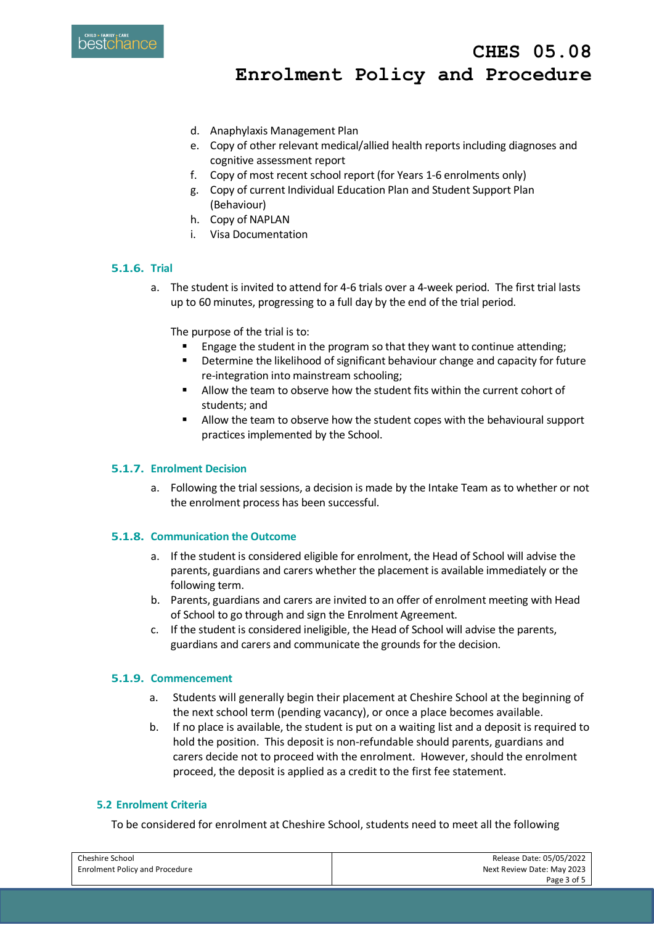

 **CHES 05.08 Enrolment Policy and Procedure**

- d. Anaphylaxis Management Plan
- e. Copy of other relevant medical/allied health reports including diagnoses and cognitive assessment report
- f. Copy of most recent school report (for Years 1-6 enrolments only)
- g. Copy of current Individual Education Plan and Student Support Plan (Behaviour)
- h. Copy of NAPLAN
- i. Visa Documentation

# **5.1.6. Trial**

a. The student is invited to attend for 4-6 trials over a 4-week period. The first trial lasts up to 60 minutes, progressing to a full day by the end of the trial period.

The purpose of the trial is to:

- Engage the student in the program so that they want to continue attending;
- **•** Determine the likelihood of significant behaviour change and capacity for future re-integration into mainstream schooling;
- Allow the team to observe how the student fits within the current cohort of students; and
- Allow the team to observe how the student copes with the behavioural support practices implemented by the School.

# **5.1.7. Enrolment Decision**

a. Following the trial sessions, a decision is made by the Intake Team as to whether or not the enrolment process has been successful.

## **5.1.8. Communication the Outcome**

- a. If the student is considered eligible for enrolment, the Head of School will advise the parents, guardians and carers whether the placement is available immediately or the following term.
- b. Parents, guardians and carers are invited to an offer of enrolment meeting with Head of School to go through and sign the Enrolment Agreement.
- c. If the student is considered ineligible, the Head of School will advise the parents, guardians and carers and communicate the grounds for the decision.

## **5.1.9. Commencement**

- a. Students will generally begin their placement at Cheshire School at the beginning of the next school term (pending vacancy), or once a place becomes available.
- b. If no place is available, the student is put on a waiting list and a deposit is required to hold the position. This deposit is non-refundable should parents, guardians and carers decide not to proceed with the enrolment. However, should the enrolment proceed, the deposit is applied as a credit to the first fee statement.

## **5.2 Enrolment Criteria**

To be considered for enrolment at Cheshire School, students need to meet all the following

| Cheshire School                       | Release Date: 05/05/2022   |
|---------------------------------------|----------------------------|
| <b>Enrolment Policy and Procedure</b> | Next Review Date: May 2023 |
|                                       | Page 3 of 5                |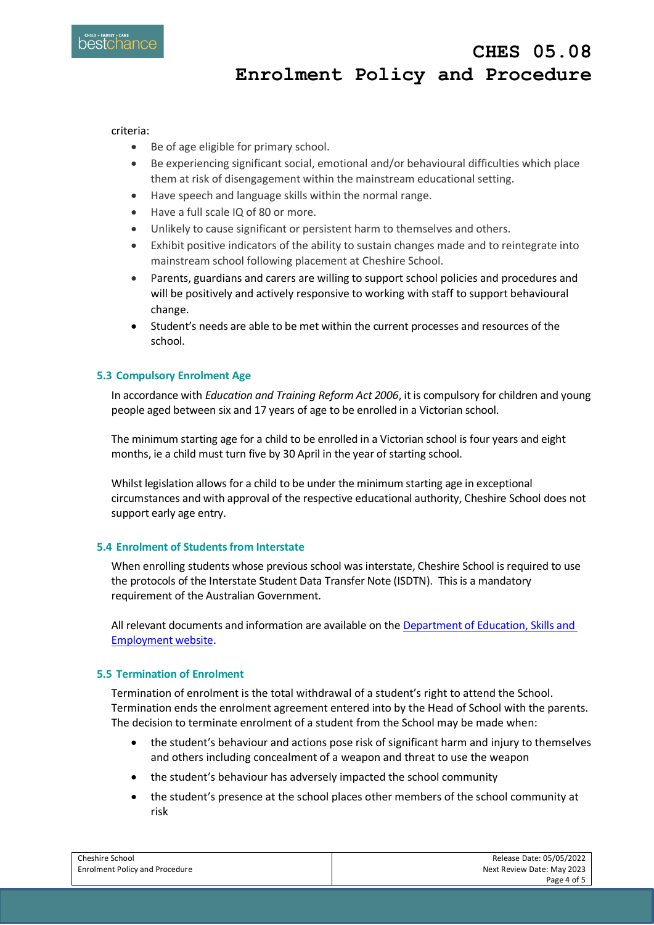

 **CHES 05.08 Enrolment Policy and Procedure**

criteria:

- Be of age eligible for primary school.
- Be experiencing significant social, emotional and/or behavioural difficulties which place them at risk of disengagement within the mainstream educational setting.
- Have speech and language skills within the normal range.
- Have a full scale IQ of 80 or more.
- Unlikely to cause significant or persistent harm to themselves and others.
- Exhibit positive indicators of the ability to sustain changes made and to reintegrate into mainstream school following placement at Cheshire School.
- Parents, guardians and carers are willing to support school policies and procedures and will be positively and actively responsive to working with staff to support behavioural change.
- Student's needs are able to be met within the current processes and resources of the school.

## **5.3 Compulsory Enrolment Age**

In accordance with *Education and Training Reform Act 2006*, it is compulsory for children and young people aged between six and 17 years of age to be enrolled in a Victorian school.

The minimum starting age for a child to be enrolled in a Victorian school is four years and eight months, ie a child must turn five by 30 April in the year of starting school.

Whilst legislation allows for a child to be under the minimum starting age in exceptional circumstances and with approval of the respective educational authority, Cheshire School does not support early age entry.

## **5.4 Enrolment of Students from Interstate**

When enrolling students whose previous school was interstate, Cheshire School is required to use the protocols of the Interstate Student Data Transfer Note (ISDTN). This is a mandatory requirement of the Australian Government.

All relevant documents and information are available on th[e Department of Education, Skills and](https://www.dese.gov.au/collections/interstate-student-data-transfer-note-and-protocol-non-government-schools)  [Employment website.](https://www.dese.gov.au/collections/interstate-student-data-transfer-note-and-protocol-non-government-schools)

#### **5.5 Termination of Enrolment**

Termination of enrolment is the total withdrawal of a student's right to attend the School. Termination ends the enrolment agreement entered into by the Head of School with the parents. The decision to terminate enrolment of a student from the School may be made when:

- the student's behaviour and actions pose risk of significant harm and injury to themselves and others including concealment of a weapon and threat to use the weapon
- the student's behaviour has adversely impacted the school community
- the student's presence at the school places other members of the school community at risk

| Cheshire School                       | Release Date: 05/05/2022   |
|---------------------------------------|----------------------------|
| <b>Enrolment Policy and Procedure</b> | Next Review Date: May 2023 |
|                                       | Page 4 of 5                |